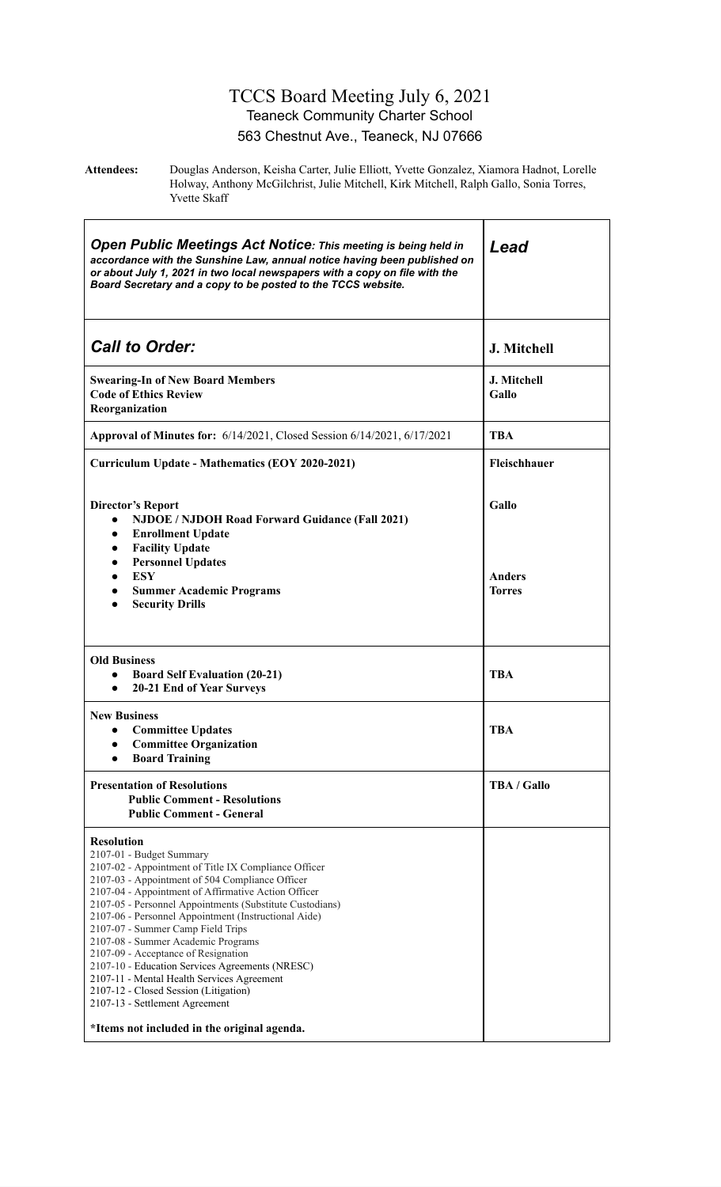### TCCS Board Meeting July 6, 2021 Teaneck Community Charter School 563 Chestnut Ave., Teaneck, NJ 07666

**Attendees:** Douglas Anderson, Keisha Carter, Julie Elliott, Yvette Gonzalez, Xiamora Hadnot, Lorelle Holway, Anthony McGilchrist, Julie Mitchell, Kirk Mitchell, Ralph Gallo, Sonia Torres, Yvette Skaff

| <b>Open Public Meetings Act Notice: This meeting is being held in</b><br>accordance with the Sunshine Law, annual notice having been published on<br>or about July 1, 2021 in two local newspapers with a copy on file with the<br>Board Secretary and a copy to be posted to the TCCS website.                                                                                                                                                                                                                                                                                                                                                                                  | Lead                        |
|----------------------------------------------------------------------------------------------------------------------------------------------------------------------------------------------------------------------------------------------------------------------------------------------------------------------------------------------------------------------------------------------------------------------------------------------------------------------------------------------------------------------------------------------------------------------------------------------------------------------------------------------------------------------------------|-----------------------------|
| <b>Call to Order:</b>                                                                                                                                                                                                                                                                                                                                                                                                                                                                                                                                                                                                                                                            | J. Mitchell                 |
| <b>Swearing-In of New Board Members</b><br><b>Code of Ethics Review</b><br>Reorganization                                                                                                                                                                                                                                                                                                                                                                                                                                                                                                                                                                                        | <b>J. Mitchell</b><br>Gallo |
| Approval of Minutes for: 6/14/2021, Closed Session 6/14/2021, 6/17/2021                                                                                                                                                                                                                                                                                                                                                                                                                                                                                                                                                                                                          | <b>TBA</b>                  |
| Curriculum Update - Mathematics (EOY 2020-2021)                                                                                                                                                                                                                                                                                                                                                                                                                                                                                                                                                                                                                                  | Fleischhauer                |
| <b>Director's Report</b><br><b>NJDOE / NJDOH Road Forward Guidance (Fall 2021)</b><br>$\bullet$<br><b>Enrollment Update</b><br>$\bullet$                                                                                                                                                                                                                                                                                                                                                                                                                                                                                                                                         | Gallo                       |
| <b>Facility Update</b><br>$\bullet$<br><b>Personnel Updates</b><br><b>ESY</b><br><b>Summer Academic Programs</b><br><b>Security Drills</b>                                                                                                                                                                                                                                                                                                                                                                                                                                                                                                                                       | Anders<br><b>Torres</b>     |
| <b>Old Business</b><br><b>Board Self Evaluation (20-21)</b><br>$\bullet$<br>20-21 End of Year Surveys<br>$\bullet$                                                                                                                                                                                                                                                                                                                                                                                                                                                                                                                                                               | <b>TBA</b>                  |
| <b>New Business</b><br><b>Committee Updates</b><br><b>Committee Organization</b><br><b>Board Training</b>                                                                                                                                                                                                                                                                                                                                                                                                                                                                                                                                                                        | TBA                         |
| <b>Presentation of Resolutions</b><br><b>Public Comment - Resolutions</b><br><b>Public Comment - General</b>                                                                                                                                                                                                                                                                                                                                                                                                                                                                                                                                                                     | <b>TBA / Gallo</b>          |
| <b>Resolution</b><br>2107-01 - Budget Summary<br>2107-02 - Appointment of Title IX Compliance Officer<br>2107-03 - Appointment of 504 Compliance Officer<br>2107-04 - Appointment of Affirmative Action Officer<br>2107-05 - Personnel Appointments (Substitute Custodians)<br>2107-06 - Personnel Appointment (Instructional Aide)<br>2107-07 - Summer Camp Field Trips<br>2107-08 - Summer Academic Programs<br>2107-09 - Acceptance of Resignation<br>2107-10 - Education Services Agreements (NRESC)<br>2107-11 - Mental Health Services Agreement<br>2107-12 - Closed Session (Litigation)<br>2107-13 - Settlement Agreement<br>*Items not included in the original agenda. |                             |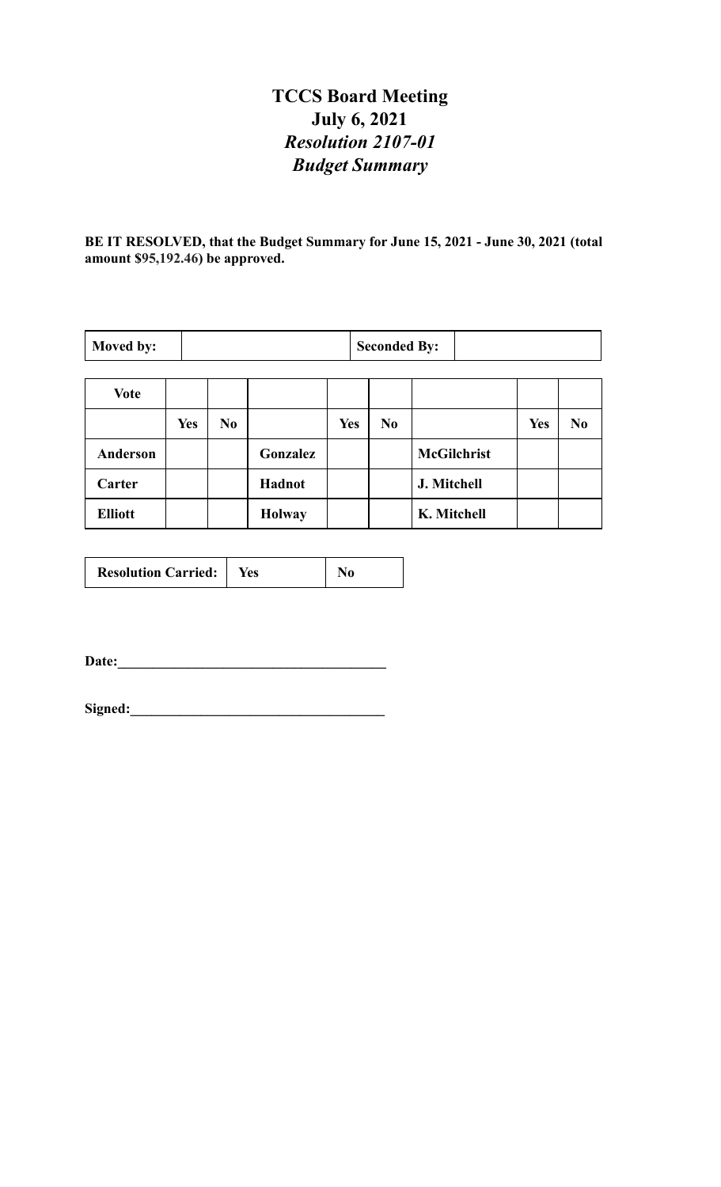# **TCCS Board Meeting July 6, 2021** *Resolution 2107-01 Budget Summary*

**BE IT RESOLVED, that the Budget Summary for June 15, 2021 - June 30, 2021 (total amount \$95,192.46) be approved.**

| Moved by:       |            | <b>Seconded By:</b> |               |            |                |                    |            |                |
|-----------------|------------|---------------------|---------------|------------|----------------|--------------------|------------|----------------|
| <b>Vote</b>     |            |                     |               |            |                |                    |            |                |
|                 | <b>Yes</b> | N <sub>0</sub>      |               | <b>Yes</b> | N <sub>0</sub> |                    | <b>Yes</b> | N <sub>0</sub> |
| <b>Anderson</b> |            |                     | Gonzalez      |            |                | <b>McGilchrist</b> |            |                |
| Carter          |            |                     | Hadnot        |            |                | J. Mitchell        |            |                |
| <b>Elliott</b>  |            |                     | <b>Holway</b> |            |                | K. Mitchell        |            |                |

| <b>Resolution Carried:</b> | Yes |  |
|----------------------------|-----|--|
|----------------------------|-----|--|

**Date:\_\_\_\_\_\_\_\_\_\_\_\_\_\_\_\_\_\_\_\_\_\_\_\_\_\_\_\_\_\_\_\_\_\_\_\_\_\_**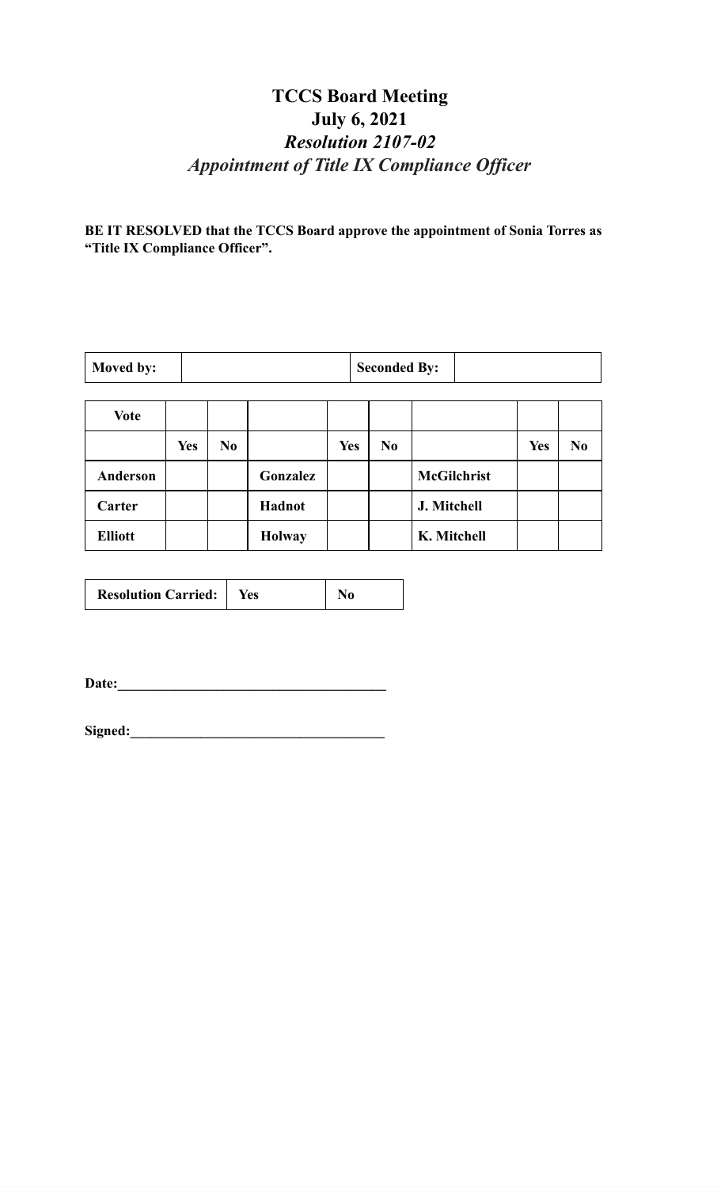# **TCCS Board Meeting July 6, 2021** *Resolution 2107-02 Appointment of Title IX Compliance Of icer*

**BE IT RESOLVED that the TCCS Board approve the appointment of Sonia Torres as "Title IX Compliance Officer".**

| Moved by: | <b>Seconded By:</b> |  |
|-----------|---------------------|--|
|-----------|---------------------|--|

| <b>Vote</b>    |            |                |               |            |                |                    |            |                |
|----------------|------------|----------------|---------------|------------|----------------|--------------------|------------|----------------|
|                | <b>Yes</b> | N <sub>0</sub> |               | <b>Yes</b> | N <sub>0</sub> |                    | <b>Yes</b> | N <sub>0</sub> |
| Anderson       |            |                | Gonzalez      |            |                | <b>McGilchrist</b> |            |                |
| Carter         |            |                | Hadnot        |            |                | J. Mitchell        |            |                |
| <b>Elliott</b> |            |                | <b>Holway</b> |            |                | K. Mitchell        |            |                |

| <b>Resolution Carried:</b> | Yes |  |
|----------------------------|-----|--|
|----------------------------|-----|--|

**Date:\_\_\_\_\_\_\_\_\_\_\_\_\_\_\_\_\_\_\_\_\_\_\_\_\_\_\_\_\_\_\_\_\_\_\_\_\_\_**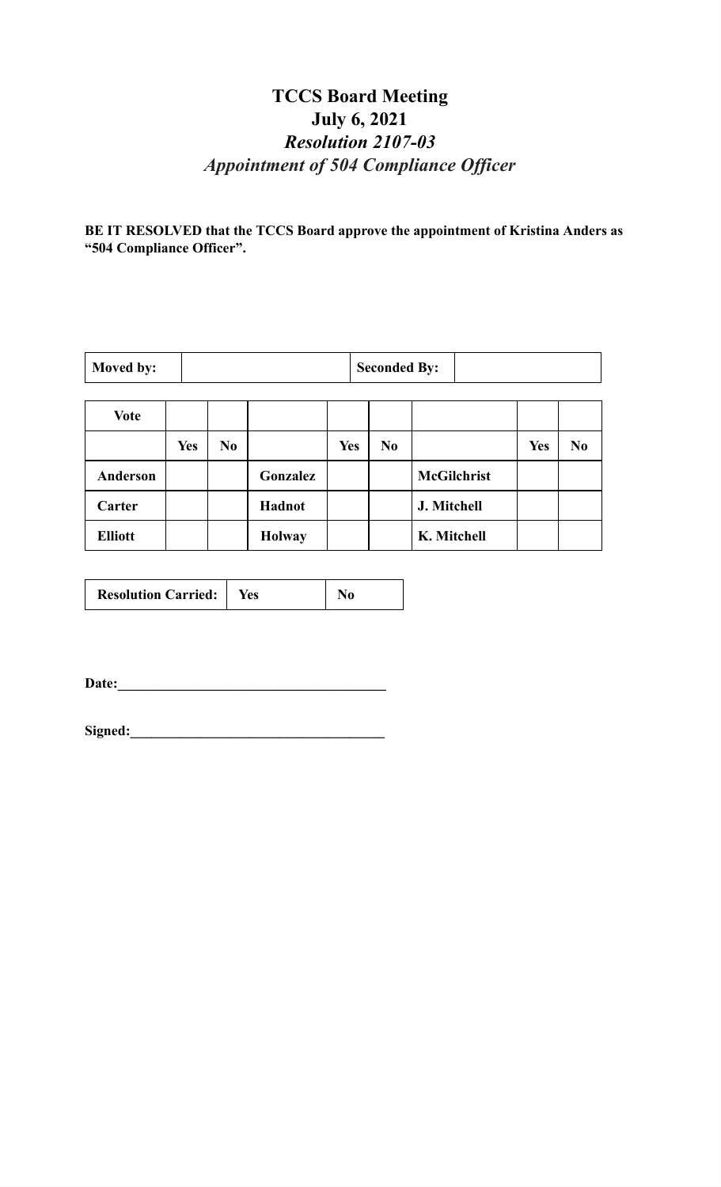# **TCCS Board Meeting July 6, 2021** *Resolution 2107-03 Appointment of 504 Compliance Of icer*

**BE IT RESOLVED that the TCCS Board approve the appointment of Kristina Anders as "504 Compliance Officer".**

| Moved by: | <b>Seconded By:</b> |  |
|-----------|---------------------|--|
|-----------|---------------------|--|

| <b>Vote</b>    |            |                |               |            |                |                    |            |                |
|----------------|------------|----------------|---------------|------------|----------------|--------------------|------------|----------------|
|                | <b>Yes</b> | N <sub>0</sub> |               | <b>Yes</b> | N <sub>0</sub> |                    | <b>Yes</b> | N <sub>0</sub> |
| Anderson       |            |                | Gonzalez      |            |                | <b>McGilchrist</b> |            |                |
| <b>Carter</b>  |            |                | Hadnot        |            |                | J. Mitchell        |            |                |
| <b>Elliott</b> |            |                | <b>Holway</b> |            |                | K. Mitchell        |            |                |

| <b>Resolution Carried:</b> | Yes |  |
|----------------------------|-----|--|
|----------------------------|-----|--|

**Date:\_\_\_\_\_\_\_\_\_\_\_\_\_\_\_\_\_\_\_\_\_\_\_\_\_\_\_\_\_\_\_\_\_\_\_\_\_\_**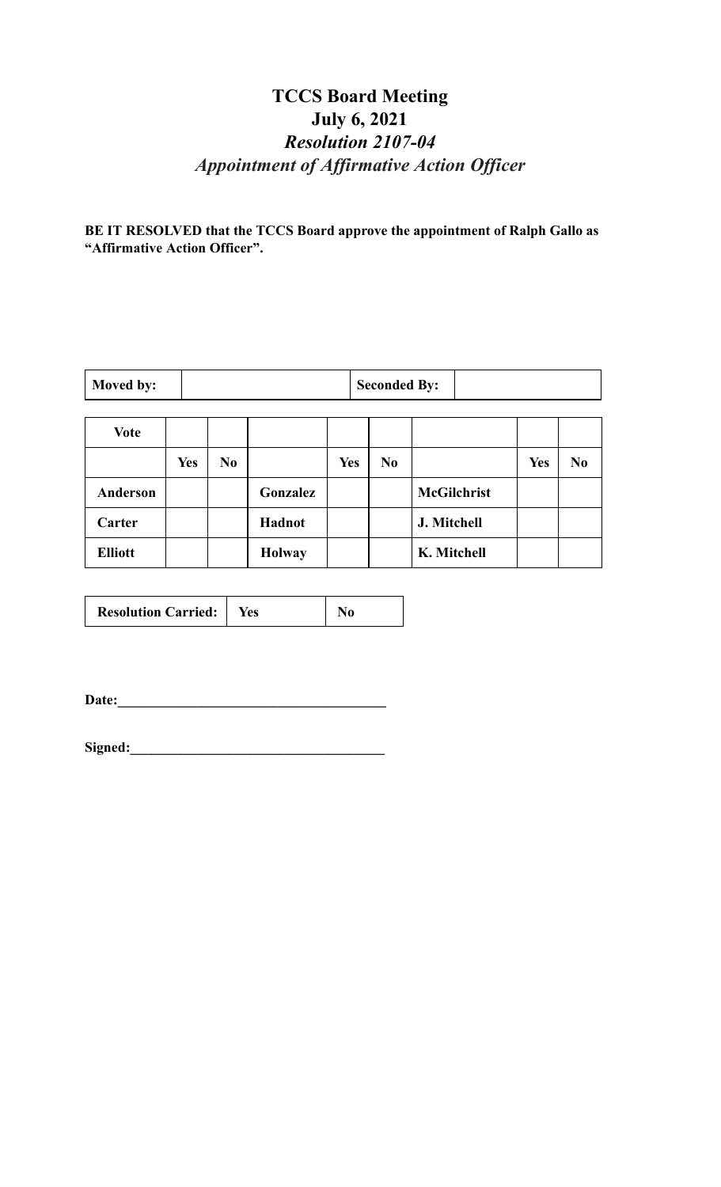# **TCCS Board Meeting July 6, 2021** *Resolution 2107-04 Appointment of Af irmative Action Of icer*

**BE IT RESOLVED that the TCCS Board approve the appointment of Ralph Gallo as "Affirmative Action Officer".**

| Moved by:       | <b>Seconded By:</b> |                |               |            |                |                    |            |                |
|-----------------|---------------------|----------------|---------------|------------|----------------|--------------------|------------|----------------|
| <b>Vote</b>     |                     |                |               |            |                |                    |            |                |
|                 | <b>Yes</b>          | N <sub>0</sub> |               | <b>Yes</b> | N <sub>0</sub> |                    | <b>Yes</b> | N <sub>0</sub> |
| <b>Anderson</b> |                     |                | Gonzalez      |            |                | <b>McGilchrist</b> |            |                |
| Carter          |                     |                | <b>Hadnot</b> |            |                | J. Mitchell        |            |                |
| <b>Elliott</b>  |                     |                | <b>Holway</b> |            |                | K. Mitchell        |            |                |

| <b>Resolution Carried:</b> |
|----------------------------|
|----------------------------|

**Date:\_\_\_\_\_\_\_\_\_\_\_\_\_\_\_\_\_\_\_\_\_\_\_\_\_\_\_\_\_\_\_\_\_\_\_\_\_\_**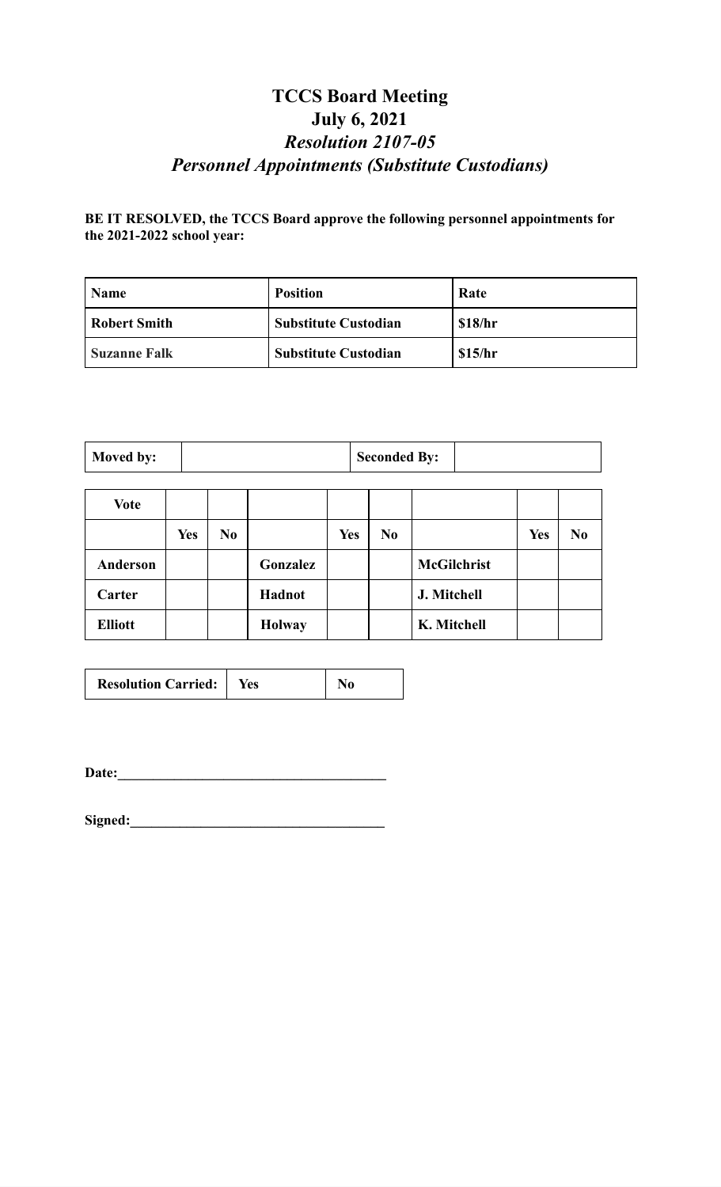# **TCCS Board Meeting July 6, 2021** *Resolution 2107-05 Personnel Appointments (Substitute Custodians)*

### **BE IT RESOLVED, the TCCS Board approve the following personnel appointments for the 2021-2022 school year:**

| <b>Name</b>         | <b>Position</b>             | Rate    |
|---------------------|-----------------------------|---------|
| <b>Robert Smith</b> | <b>Substitute Custodian</b> | \$18/hr |
| <b>Suzanne Falk</b> | <b>Substitute Custodian</b> | \$15/hr |

| Moved by: |  | <b>Seconded By:</b> |  |
|-----------|--|---------------------|--|
|-----------|--|---------------------|--|

| <b>Vote</b>     |            |                |               |            |                |                    |            |                |
|-----------------|------------|----------------|---------------|------------|----------------|--------------------|------------|----------------|
|                 | <b>Yes</b> | N <sub>0</sub> |               | <b>Yes</b> | N <sub>0</sub> |                    | <b>Yes</b> | N <sub>0</sub> |
| <b>Anderson</b> |            |                | Gonzalez      |            |                | <b>McGilchrist</b> |            |                |
| Carter          |            |                | Hadnot        |            |                | J. Mitchell        |            |                |
| <b>Elliott</b>  |            |                | <b>Holway</b> |            |                | K. Mitchell        |            |                |

| <b>Resolution Carried:</b>   Yes |  | $\bf N$ <sub>0</sub> |
|----------------------------------|--|----------------------|
|----------------------------------|--|----------------------|

**Date:\_\_\_\_\_\_\_\_\_\_\_\_\_\_\_\_\_\_\_\_\_\_\_\_\_\_\_\_\_\_\_\_\_\_\_\_\_\_**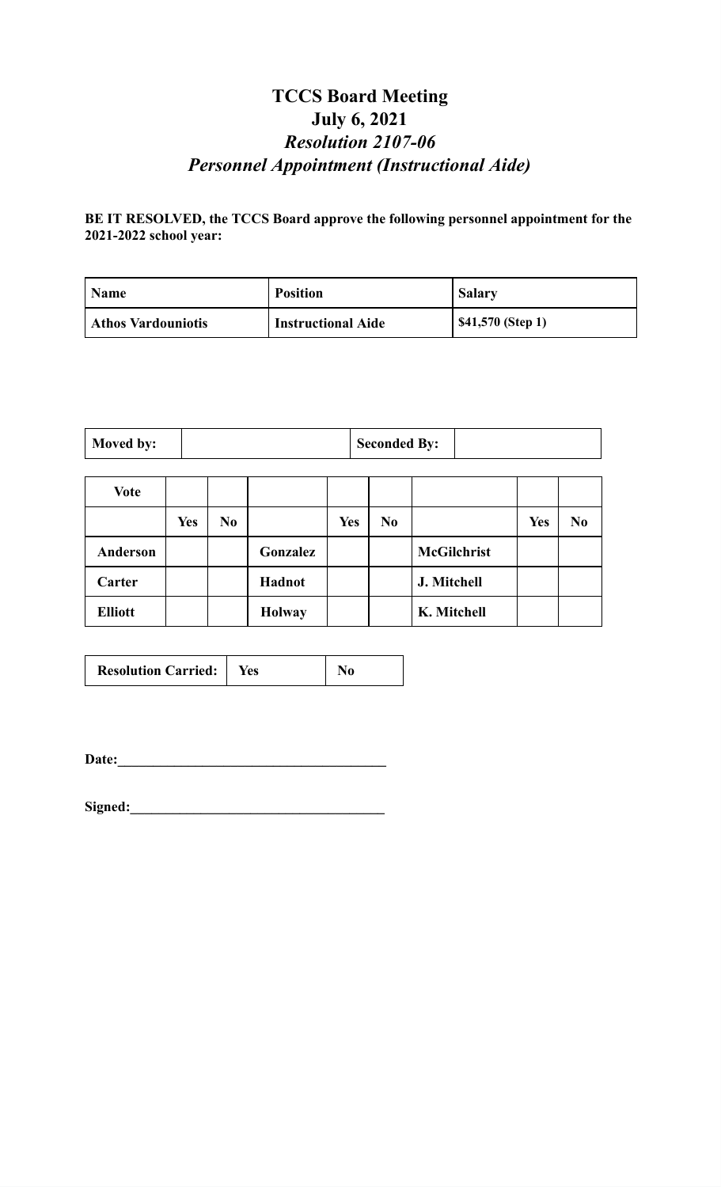# **TCCS Board Meeting July 6, 2021** *Resolution 2107-06 Personnel Appointment (Instructional Aide)*

### **BE IT RESOLVED, the TCCS Board approve the following personnel appointment for the 2021-2022 school year:**

| <b>Name</b>               | <b>Position</b>           | <b>Salary</b>     |
|---------------------------|---------------------------|-------------------|
| <b>Athos Vardouniotis</b> | <b>Instructional Aide</b> | \$41,570 (Step 1) |

| Moved by: | <b>Seconded By:</b> |  |
|-----------|---------------------|--|
|-----------|---------------------|--|

| <b>Vote</b>     |            |                |               |            |                |                    |            |                |
|-----------------|------------|----------------|---------------|------------|----------------|--------------------|------------|----------------|
|                 | <b>Yes</b> | N <sub>0</sub> |               | <b>Yes</b> | N <sub>0</sub> |                    | <b>Yes</b> | N <sub>0</sub> |
| <b>Anderson</b> |            |                | Gonzalez      |            |                | <b>McGilchrist</b> |            |                |
| Carter          |            |                | Hadnot        |            |                | J. Mitchell        |            |                |
| <b>Elliott</b>  |            |                | <b>Holway</b> |            |                | K. Mitchell        |            |                |

| <b>Resolution Carried:</b> | Yes |  |
|----------------------------|-----|--|

**Date:\_\_\_\_\_\_\_\_\_\_\_\_\_\_\_\_\_\_\_\_\_\_\_\_\_\_\_\_\_\_\_\_\_\_\_\_\_\_**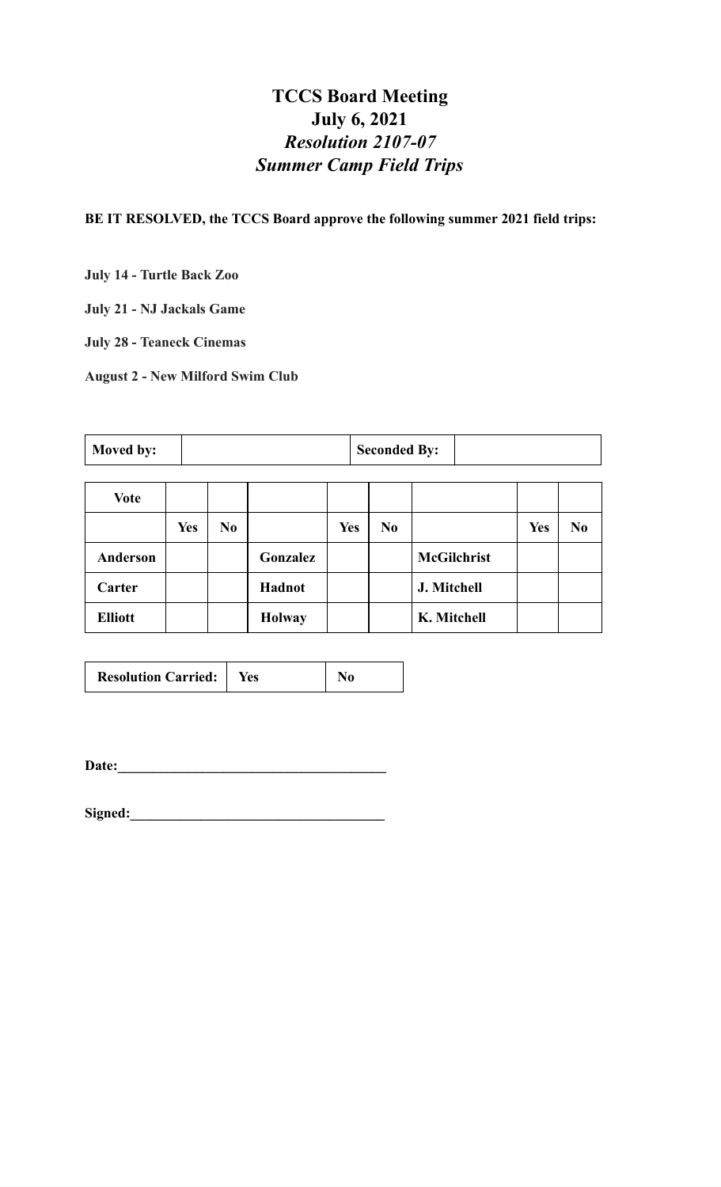## **TCCS Board Meeting July 6, 2021** *Resolution 2107-07 Summer Camp Field Trips*

**BE IT RESOLVED, the TCCS Board approve the following summer 2021 field trips:**

**July 14 - Turtle Back Zoo**

**July 21 - NJ Jackals Game**

**July 28 - Teaneck Cinemas**

**August 2 - New Milford Swim Club**

**Moved** by:  $\qquad$  **Seconded By:** 

| <b>Vote</b>     |            |                |               |            |                |                    |            |    |
|-----------------|------------|----------------|---------------|------------|----------------|--------------------|------------|----|
|                 | <b>Yes</b> | N <sub>0</sub> |               | <b>Yes</b> | N <sub>0</sub> |                    | <b>Yes</b> | No |
| <b>Anderson</b> |            |                | Gonzalez      |            |                | <b>McGilchrist</b> |            |    |
| Carter          |            |                | Hadnot        |            |                | J. Mitchell        |            |    |
| <b>Elliott</b>  |            |                | <b>Holway</b> |            |                | K. Mitchell        |            |    |

| <b>Resolution Carried:</b>   Yes |  | N <sub>0</sub> |
|----------------------------------|--|----------------|
|----------------------------------|--|----------------|

**Date:\_\_\_\_\_\_\_\_\_\_\_\_\_\_\_\_\_\_\_\_\_\_\_\_\_\_\_\_\_\_\_\_\_\_\_\_\_\_**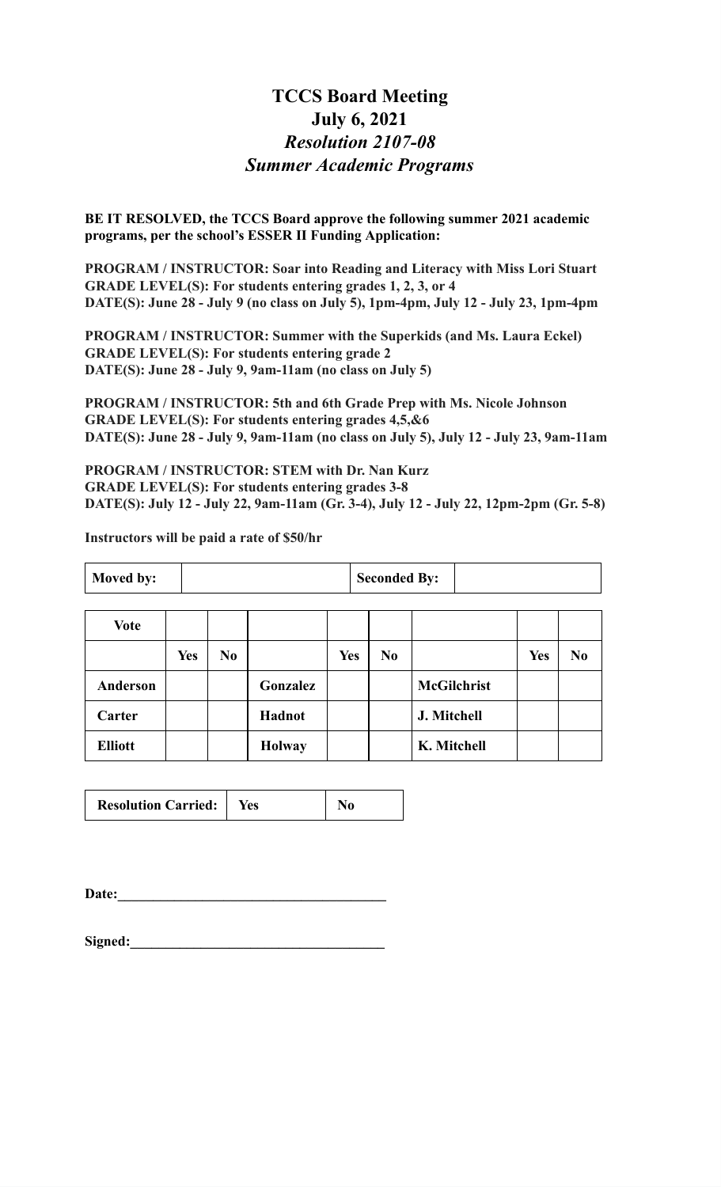## **TCCS Board Meeting July 6, 2021** *Resolution 2107-08 Summer Academic Programs*

**BE IT RESOLVED, the TCCS Board approve the following summer 2021 academic programs, per the school's ESSER II Funding Application:**

**PROGRAM / INSTRUCTOR: Soar into Reading and Literacy with Miss Lori Stuart GRADE LEVEL(S): For students entering grades 1, 2, 3, or 4 DATE(S): June 28 - July 9 (no class on July 5), 1pm-4pm, July 12 - July 23, 1pm-4pm**

**PROGRAM / INSTRUCTOR: Summer with the Superkids (and Ms. Laura Eckel) GRADE LEVEL(S): For students entering grade 2 DATE(S): June 28 - July 9, 9am-11am (no class on July 5)**

**PROGRAM / INSTRUCTOR: 5th and 6th Grade Prep with Ms. Nicole Johnson GRADE LEVEL(S): For students entering grades 4,5,&6 DATE(S): June 28 - July 9, 9am-11am (no class on July 5), July 12 - July 23, 9am-11am**

**PROGRAM / INSTRUCTOR: STEM with Dr. Nan Kurz GRADE LEVEL(S): For students entering grades 3-8 DATE(S): July 12 - July 22, 9am-11am (Gr. 3-4), July 12 - July 22, 12pm-2pm (Gr. 5-8)**

**Instructors will be paid a rate of \$50/hr**

 $\overline{\phantom{a}}$ 

 $\blacksquare$ 

| <b>Moved by:</b> |  |  |  | <b>Seconded By:</b> |  |  |  |  |  |  |
|------------------|--|--|--|---------------------|--|--|--|--|--|--|
|                  |  |  |  |                     |  |  |  |  |  |  |
|                  |  |  |  |                     |  |  |  |  |  |  |

 $\overline{\phantom{a}}$ 

 $\overline{\phantom{0}}$ 

| <b>Vote</b>     |            |                |               |            |                |                    |            |                |
|-----------------|------------|----------------|---------------|------------|----------------|--------------------|------------|----------------|
|                 | <b>Yes</b> | N <sub>0</sub> |               | <b>Yes</b> | N <sub>0</sub> |                    | <b>Yes</b> | N <sub>0</sub> |
| <b>Anderson</b> |            |                | Gonzalez      |            |                | <b>McGilchrist</b> |            |                |
| Carter          |            |                | Hadnot        |            |                | J. Mitchell        |            |                |
| <b>Elliott</b>  |            |                | <b>Holway</b> |            |                | K. Mitchell        |            |                |

| <b>Resolution Carried:</b> | <b>Yes</b> |  |
|----------------------------|------------|--|
|----------------------------|------------|--|

| Date: |  |  |
|-------|--|--|
|       |  |  |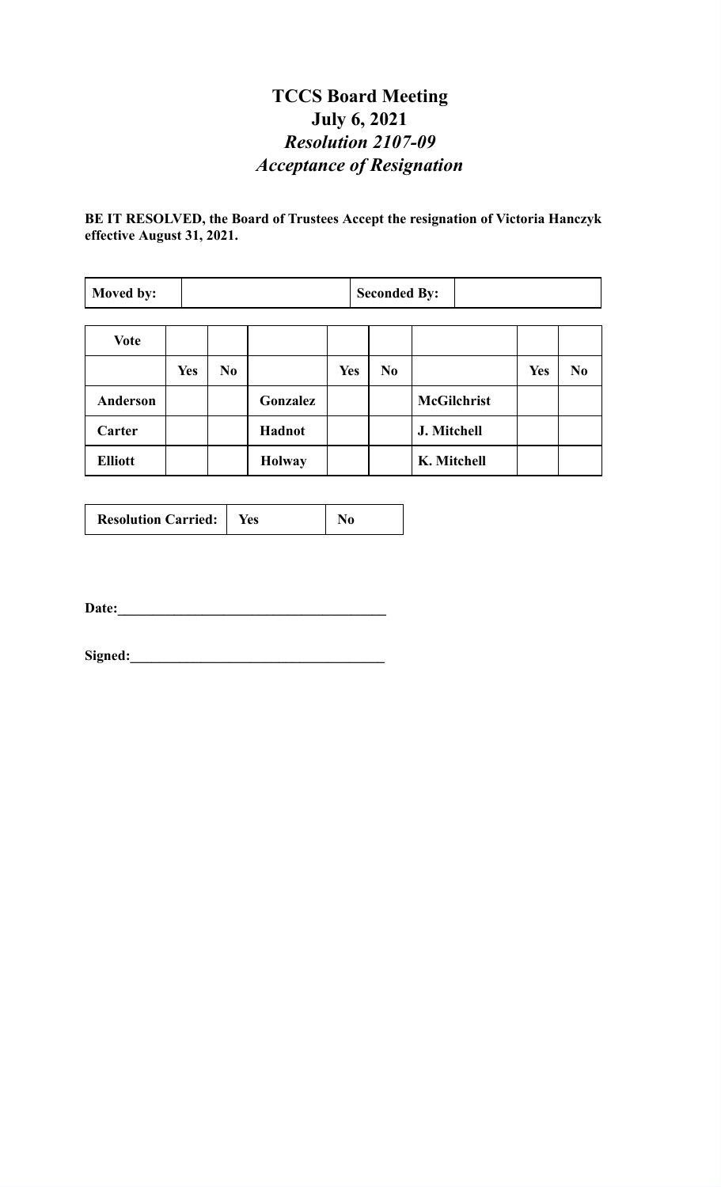# **TCCS Board Meeting July 6, 2021** *Resolution 2107-09 Acceptance of Resignation*

### **BE IT RESOLVED, the Board of Trustees Accept the resignation of Victoria Hanczyk effective August 31, 2021.**

| Moved by:      |            |                |               | <b>Seconded By:</b> |                |                    |            |                |
|----------------|------------|----------------|---------------|---------------------|----------------|--------------------|------------|----------------|
| <b>Vote</b>    |            |                |               |                     |                |                    |            |                |
|                | <b>Yes</b> | N <sub>0</sub> |               | <b>Yes</b>          | N <sub>0</sub> |                    | <b>Yes</b> | N <sub>0</sub> |
| Anderson       |            |                | Gonzalez      |                     |                | <b>McGilchrist</b> |            |                |
| Carter         |            |                | Hadnot        |                     |                | J. Mitchell        |            |                |
| <b>Elliott</b> |            |                | <b>Holway</b> |                     |                | K. Mitchell        |            |                |

| <b>Resolution Carried:</b> |     |  |
|----------------------------|-----|--|
|                            | Yes |  |

**Date:\_\_\_\_\_\_\_\_\_\_\_\_\_\_\_\_\_\_\_\_\_\_\_\_\_\_\_\_\_\_\_\_\_\_\_\_\_\_**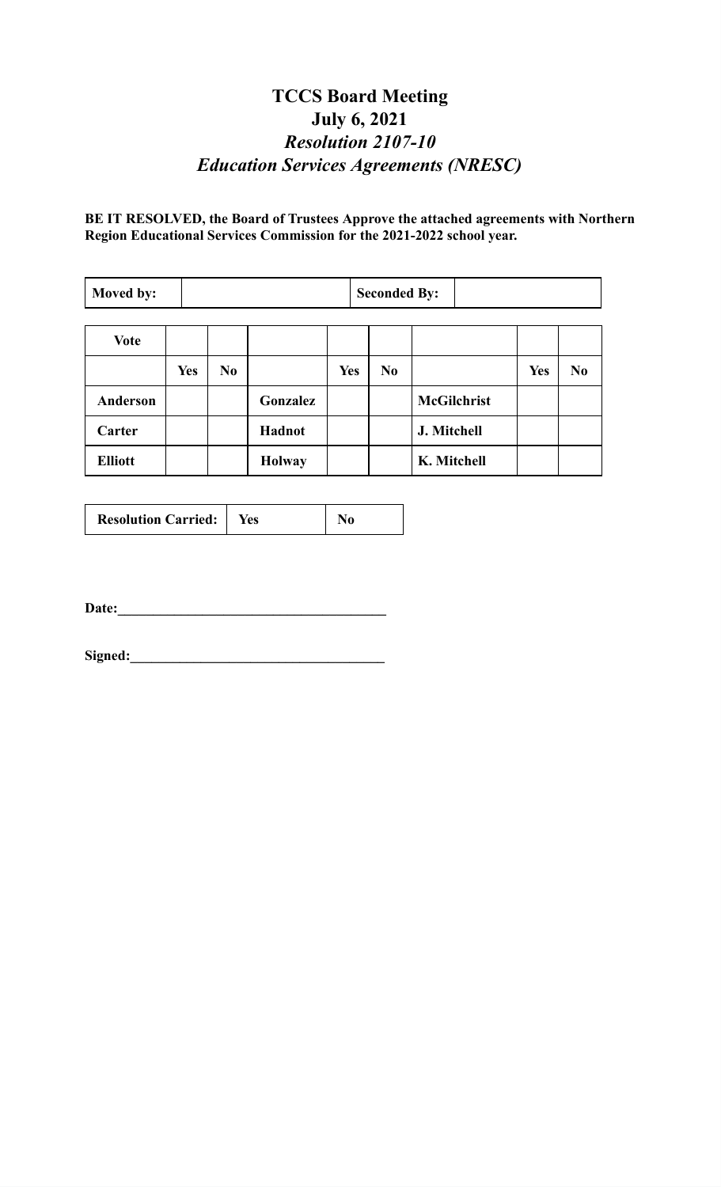## **TCCS Board Meeting July 6, 2021** *Resolution 2107-10 Education Services Agreements (NRESC)*

**BE IT RESOLVED, the Board of Trustees Approve the attached agreements with Northern Region Educational Services Commission for the 2021-2022 school year.**

| Moved by:       |            |                |               | <b>Seconded By:</b> |                |                    |            |                |
|-----------------|------------|----------------|---------------|---------------------|----------------|--------------------|------------|----------------|
|                 |            |                |               |                     |                |                    |            |                |
| <b>Vote</b>     |            |                |               |                     |                |                    |            |                |
|                 | <b>Yes</b> | N <sub>0</sub> |               | <b>Yes</b>          | N <sub>0</sub> |                    | <b>Yes</b> | N <sub>0</sub> |
| <b>Anderson</b> |            |                | Gonzalez      |                     |                | <b>McGilchrist</b> |            |                |
| Carter          |            |                | Hadnot        |                     |                | J. Mitchell        |            |                |
| <b>Elliott</b>  |            |                | <b>Holway</b> |                     |                | K. Mitchell        |            |                |

| <b>Resolution Carried:</b> | Yes |  |
|----------------------------|-----|--|
|----------------------------|-----|--|

Date: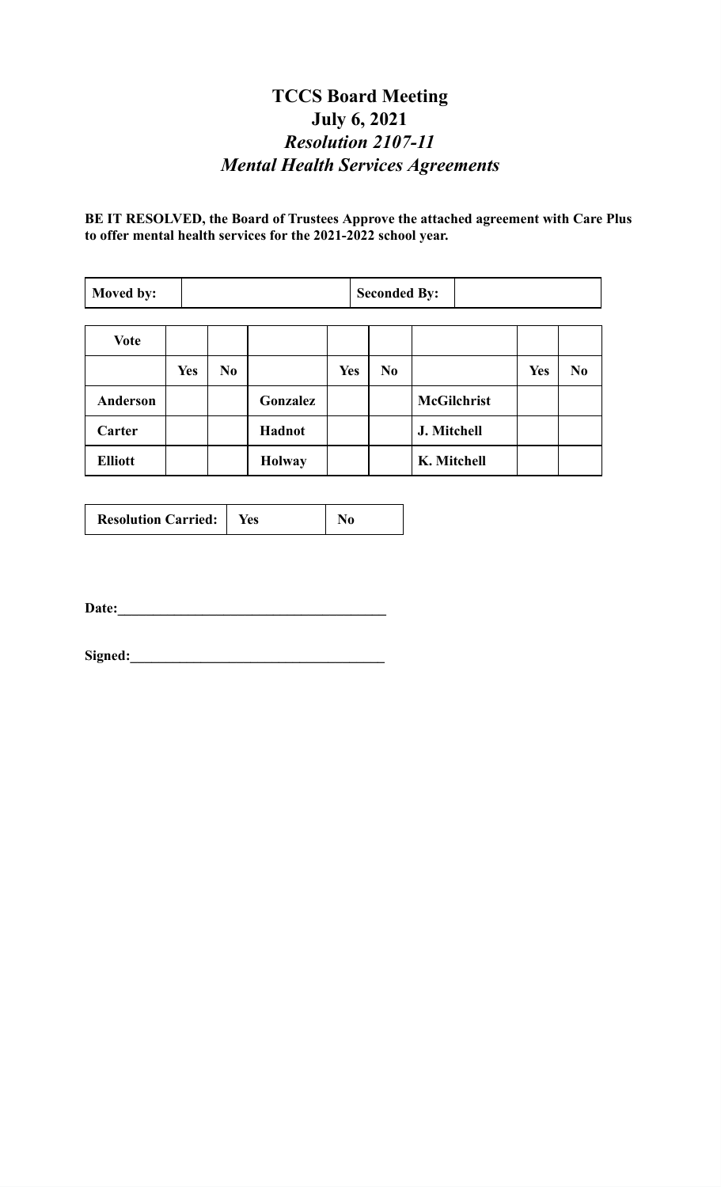# **TCCS Board Meeting July 6, 2021** *Resolution 2107-11 Mental Health Services Agreements*

### **BE IT RESOLVED, the Board of Trustees Approve the attached agreement with Care Plus to offer mental health services for the 2021-2022 school year.**

| Moved by:       |            |                |               | <b>Seconded By:</b> |                |                    |            |                |
|-----------------|------------|----------------|---------------|---------------------|----------------|--------------------|------------|----------------|
| <b>Vote</b>     |            |                |               |                     |                |                    |            |                |
|                 | <b>Yes</b> | N <sub>0</sub> |               | <b>Yes</b>          | N <sub>0</sub> |                    | <b>Yes</b> | N <sub>0</sub> |
| <b>Anderson</b> |            |                | Gonzalez      |                     |                | <b>McGilchrist</b> |            |                |
| Carter          |            |                | Hadnot        |                     |                | J. Mitchell        |            |                |
| <b>Elliott</b>  |            |                | <b>Holway</b> |                     |                | K. Mitchell        |            |                |

| <b>Resolution Carried:</b> | Yes |  |
|----------------------------|-----|--|
|----------------------------|-----|--|

**Date:\_\_\_\_\_\_\_\_\_\_\_\_\_\_\_\_\_\_\_\_\_\_\_\_\_\_\_\_\_\_\_\_\_\_\_\_\_\_**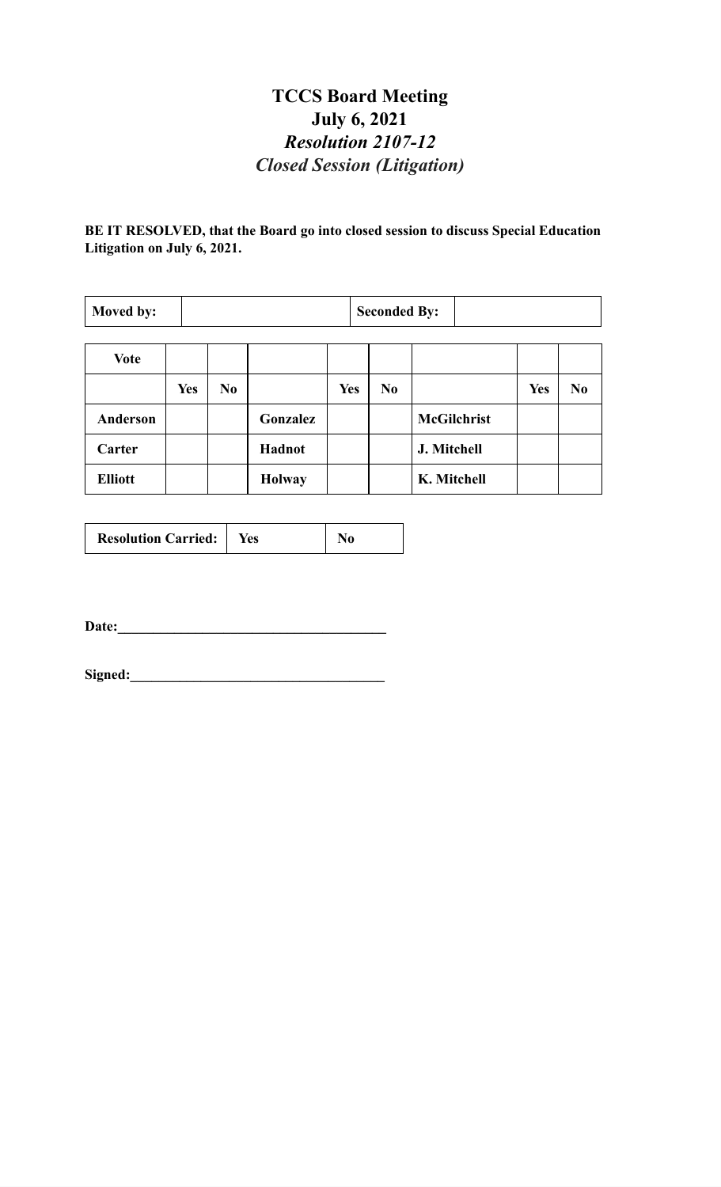# **TCCS Board Meeting July 6, 2021** *Resolution 2107-12 Closed Session (Litigation)*

#### **BE IT RESOLVED, that the Board go into closed session to discuss Special Education Litigation on July 6, 2021.**

| Moved by:      |            |                |               | <b>Seconded By:</b> |                |                    |            |                |
|----------------|------------|----------------|---------------|---------------------|----------------|--------------------|------------|----------------|
| <b>Vote</b>    |            |                |               |                     |                |                    |            |                |
|                |            |                |               |                     |                |                    |            |                |
|                | <b>Yes</b> | N <sub>0</sub> |               | <b>Yes</b>          | N <sub>0</sub> |                    | <b>Yes</b> | N <sub>0</sub> |
| Anderson       |            |                | Gonzalez      |                     |                | <b>McGilchrist</b> |            |                |
| Carter         |            |                | Hadnot        |                     |                | J. Mitchell        |            |                |
| <b>Elliott</b> |            |                | <b>Holway</b> |                     |                | K. Mitchell        |            |                |

| <b>Resolution Carried:</b><br>Yes |
|-----------------------------------|
|-----------------------------------|

**Date:\_\_\_\_\_\_\_\_\_\_\_\_\_\_\_\_\_\_\_\_\_\_\_\_\_\_\_\_\_\_\_\_\_\_\_\_\_\_**